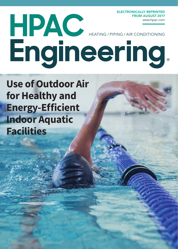ELECTRONICALLY REPRINTED FROM AUGUST 2017

# HEATING / PIPING / AIR CONDITIONING www.hpac.com

# **Use of Outdoor Air for Healthy and Energy-Efficient Indoor Aquatic Facilities**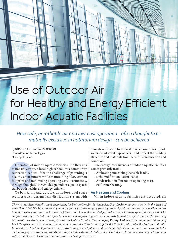# Use of Outdoor Air for Healthy and Energy-Efficient **Indoor Aquatic Facilities**

*How safe, breathable air and low-cost operation—often thought to be mutually exclusive in natatorium design—can be achieved*

By GARY LOCHNER and RANDY AMBORN Unison Comfort Technologies Minneapolis, Minn.

Operators of<br>
major university<br>
recreation cent<br>
healthy environ<br>
footprint and mi<br>
through thought<br>
can be both healt<br>
To be healthy<br>
requires a well-Operators of indoor aquatic facilities—be they at a major university, a local high school, or a community recreation center—face the challenge of providing a healthy environment while maintaining a low carbon footprint and minimizing operating costs. Fortunately, through thoughtful HVAC design, indoor aquatic spaces can be both healthy and energy-efficient.

To be healthy and durable, an indoor-pool space requires a well-designed air-distribution system with

enough ventilation to exhaust toxic chloramines—poolwater-disinfectant byproducts—and protect the building structure and materials from harmful condensation and corrosion.

The energy intensiveness of indoor aquatic facilities comes primarily from:

- Air heating and cooling (sensible loads).
- Dehumidification (latent loads).
- Air distribution (fan-motor operating cost).
- Pool-water heating.

#### **Air Heating and Cooling**

When indoor aquatic facilities are occupied, air

*The vice president of applications engineering for Unison Comfort Technologies, Gary Lochner has participated in the design of more than 1,000 HVAC units serving indoor aquatic facilities ranging from high-school pools to community recreation centers to major water parks over the last nearly 25 years and has spoken on design considerations for these spaces at many ASHRAE chapter meetings. He holds a degree in mechanical engineering with an emphasis in heat transfer from the University of Minnesota. As strategic marketing director for Unison Comfort Technologies, Randy Amborn draws upon over 30 years of HVAC experience to provide marketing and communications leadership for the three brands under the Unison umbrella: Innovent Air Handling Equipment, Valent Air Management Systems, and Precision Coils. He has authored numerous articles on building-system issues and trends for industry publications. He holds a bachelor's degree from the University of Minnesota with an emphasis in technical communication and computer science.*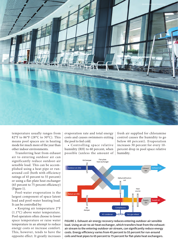

temperature usually ranges from 82°F to 86°F (28°C to 30°C). This means pool spaces are in heating mode for much more of the year than other indoor environments.

Transferring heat from exhaust air to entering outdoor air can significantly reduce outdoor-air sensible load. This can be accomplished using a heat pipe or runaround coil (both with efficiency ratings of 45 percent to 55 percent) or using a flat-plate heat exchanger (65 percent to 75 percent efficiency) (Figure 1).

Pool-water evaporation is the largest component of space latent load and pool-water heating load. It can be controlled by:

• Keeping air temperature 2°F (1.1°C) above water temperature. Pool operators often choose to lower space temperature or raise water temperature in an attempt to reduce energy costs or increase comfort. This, however, tends to have the opposite effect. It greatly increases

evaporation rate and total energy ÷ costs and causes swimmers exiting the pool to feel cold.

• Controlling space relative humidity (RH) to 60 percent, when possible (unless the amount of

fresh air supplied for chloramine control causes the humidity to go below 60 percent). Evaporation increases 30 percent for every 10 percent drop in pool space relative humidity.



**FIGURE 1. Exhaust-air energy recovery reduces entering-outdoor-air sensible load. Using an air-to-air heat exchanger, which transfers heat from the exhaustair stream to the entering-outdoor-air stream, can significantly reduce energy costs. Energy efficiency varies from 45 percent to 55 percent for run-around coils and heat pipes to 65 percent to 75 percent for flat-plate heat exchangers.**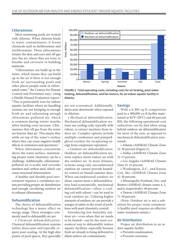#### **Chloramines**

Most swimming pools are treated with chlorine. When chlorine binds to water contaminants, it forms chemicals such as dichloramine and trichloramine. These chloramines irritate the skin and eyes and off-gas into the air, where they are toxic to breathe and corrosive to building materials.

"Chloramines can build up in the water, which means they can build up in the air if there is not enough fresh air surrounding pools and other places people swim in chlorinated water," the Centers for Disease Control and Prevention says,<sup>1</sup> citing a Health Hazard Evaluation report.<sup>2</sup> "This is particularly true for indoor aquatic facilities where air handling systems are not bringing in enough fresh air and exhausting enough chloramine-polluted air, which is common during winter months when heating costs increase. Chloramines that off gas from the water are heavier than air. This means they settle on top of the water's surface where they can cause negative health effects in swimmers and spectators."

When chloramines concentrate above the water surface, maintaining proper water chemistry can be a challenge. Additionally, chloraminepolluted air is acidic and corrodes stainless and carbon steel, which can cause structural deterioration.

A healthy and durable pool environment requires a ventilation system providing proper air distribution and enough circulating outdoor air to exhaust chloramines.

### **Dehumidification**

The choice of dehumidification technology has a major effect on energy usage. Three strategies commonly used to dehumidify air are:

• *Chemical dehumidification.* Chemical dehumidification systems utilize desiccants and typically require post-cooling. At the high dew points of pool spaces, they generally



**FIGURE 2. Total operating costs, including costs for air heating, pool-water heating, dehumidification, and fan motors, for an indoor aquatic facility in Atlanta.**

are not economical. Additionally, desiccants deteriorate when exposed to chlorine.

• *Mechanical dehumidification.* Mechanical dehumidification systems use cooling coils, typically with reheat, to extract moisture from indoor air. Complex options include multiple condensers and pumpedglycol overlays for recapturing energy from compressor operation.

• *Outdoor-air dehumidification.* Outdoor-air dehumidification systems replace moist indoor air with dry outdoor air. In most climates, systems using only unconditioned outdoor air cannot provide humidity control on humid summer days. When unconditioned outdoor air alone cannot meet a dehumidification load economically, mechanical dehumidification—often, a cooling coil with reheat—can be used to treat outdoor air. Utilizing higher amounts of outdoor air can provide a margin of safety in the event of problems with pool-chemistry control.

Introducing low-humidity outdoor air—even when that air needs to be heated—can be the most economical way to dehumidify indoor aquatic facilities, especially because fresh air already is being delivered to dilute indoor-air contaminants.

#### **Savings**

With a 6,300-sq-ft competition pool in a 300,000-cu-ft facility maintained at 82°F (28°C) and 60 percent RH, the following operational-cost reductions can be had when using hybrid outdoor-air dehumidification for most of the year, as opposed to mechanical dehumidification yearround:

• Atlanta (ASHRAE Climate Zone 3): 20 percent (Figure 2).

• Dallas (ASHRAE Climate Zone 3): 15 percent.

• Los Angeles (ASHRAE Climate Zone 3): 25 percent.

• Washington, D.C., and Kansas City, Mo. (ASHRAE Climate Zone 4): 30 percent.

• Minneapolis; Portland, Ore.; and Boston (ASHRAE climate zones 4, 5, and 6, respectively): 40 percent.

• Denver (ASHRAE Climate Zone 7): 50 percent.

(Note: Outdoor air is not a substitute for proper water treatment. A healthy pool requires an effective water-treatment system.)

#### **Air Distribution**

Proper air distribution in an indoor aquatic facility:

- Prevents condensation.
- Prevents corrosion.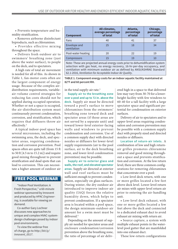• Prevents temperature and humidity stratification.

• Removes airborne disinfectant byproducts, such as chloramines.

• Provides effective mixing throughout the space.

• Delivers fresh outdoor air to swimmers' breathing zone (just above the water surface), to people on the deck, and to spectators.

A high rate of total air movement is needed for all of this. As shown in Table 1, fan-motor costs often are the largest component of energy usage. Because of the complex airdistribution requirements, variableair-volume control strategies for reducing fan costs should not be applied during occupied operation. Whether or not a space is occupied, the air-distribution system must continuously prevent condensation, corrosion, and stratification, which requires that diffusers throw air effectively.<sup>3</sup>

A typical indoor-pool space has several microzones, including the swimming area, the deck, and spectator areas, requiring condensation and corrosion prevention. Pool spaces often are quite tall (from 15 ft to 50 ft [4.5 m to 15.2 m]) and require good mixing throughout to prevent stratification and dead spots that can lead to corrosion. This can necessitate a higher amount of outdoor air

# FREE POOL WEBINAR

"Indoor Pool Ventilation: A Fresh Perspective," a 60-minute webinar sponsored by Innovent and produced by *HPAC Engineering*, is available for viewing on demand.

Co-author Gary Lochner discusses new approaches to unique and complex HVAC-systemdesign challenges posed by indoor pool environments.

To view the webinar free of charge, go to *http://bit.ly/ Innovent\_0517*.

| <b>Component</b>            | All climates,<br>average percentage<br>of total | Atlanta,<br>percentage<br>of total | Chicago,<br>percentage<br>of total |
|-----------------------------|-------------------------------------------------|------------------------------------|------------------------------------|
| Fans                        | 40                                              | 41                                 | 37                                 |
| Envelope and<br>ventilation | 25                                              | 18                                 | 34                                 |
| Pool-water heating          | 20                                              | 22                                 | 19                                 |
| <b>Compressors</b>          |                                                 | 19                                 | 10                                 |

Note: These are projected annual energy costs prior to dehumidification-system selection with gas heat, no energy recovery, 16-hr-per-day occupancy, and ventilation with minimum outdoor air as defined by ANSI/ASHRAE Standard 62.1-2016, *Ventilation for Acceptable Indoor Air Quality*.

**TABLE 1. Component energy costs for an indoor aquatic facility maintained at 82°F and 60 percent RH.**

in the total supply-air rate.3

**Supply air to the breathing zone over a pool and up to 72 in. above the deck.** Supply air must be directed toward a pool's surface to move chloramines from the swimmers' breathing zone toward deck and spectator areas (if those areas are not served by a separate unit) and toward lower-level exterior-facing walls and windows to prevent condensation and corrosion. Use of a common supply duct with directed nozzles or diffusers for lower-level supply requirements (air to the pool surface, air to the deck breathing zone, and lower-level condensation prevention) may be possible.

**Supply air to exterior glass and walls, the roof, and elevated spectator areas.** Supply air directed at exterior wall and roof surfaces must be sufficient enough to prevent condensation, especially on glass surfaces. During winter, the dry outdoor air introduced to improve indoor-air quality (IAQ) forces the relative humidity down, which helps to prevent condensation. If a spectator area is located within a pool space, the design minimum-outdoor-air amount for a swim meet must be delivered.4

Depending on the amount of supply air needed for spectator areas and enclosure condensation/corrosion prevention above the breathing zone, the ratio of percentage of air delivered high in a space to that delivered low may vary from 30-70 for a lowerheight facility with few windows to 60-40 for a tall facility with a large spectator space and significant potential for condensation on exterior surfaces.

Delivery of air to spectators and to upper-level areas requiring condensation and corrosion prevention may be possible with a common supply duct with properly sized and directed nozzles or diffusers.

**Location of return-air inlets.** A combination of low and high returnair grilles promotes chloramine removal and good mixing throughout a space and prevents stratification and corrosion. At the low return level, there are three common configurations for removing chloramines that concentrate over a pool:

• Low-level deck return, with one or more grilles located a few feet above deck level. Lower-level return air mixes with upper-level return air prior to entering the air-handling unit.

• Low-level deck exhaust, with one or more grilles located a few feet above the deck and connected to a dedicated exhaust duct to avoid exhaust air mixing with return air.

• Source capture, a system with multiple exhaust points in the waterlevel pool gutter that are manifolded into one exhaust duct.

These low-return configurations